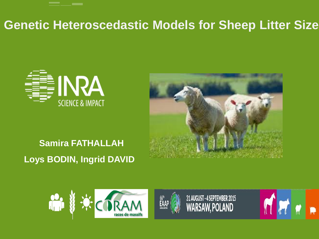#### **Genetic Heteroscedastic Models for Sheep Litter Size**





#### **Samira FATHALLAH Loys BODIN, Ingrid DAVID**





31 AUGUST - 4 SEPTEMBER 2015<br>WARSAW, POLAND

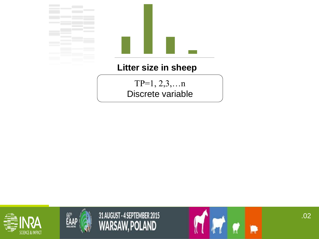

TP=1, 2,3,…n Discrete variable





31 AUGUST - 4 SEPTEMBER 2015<br>WARSAW, POLAND

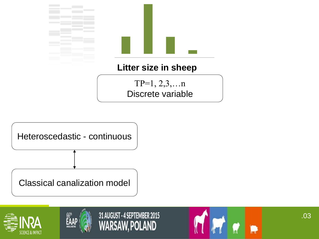

TP=1, 2,3,…n Discrete variable









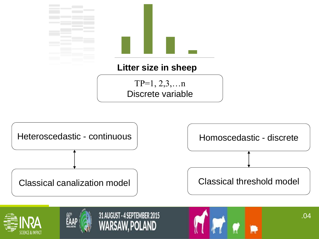



31 AUGUST - 4 SEPTEMBER 2015

WARSAW. POLAND



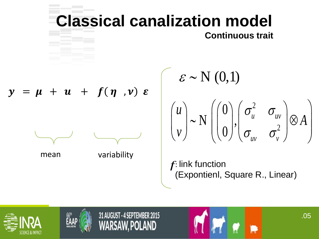

.05





31 AUGUST - 4 SEPTEMBER 2015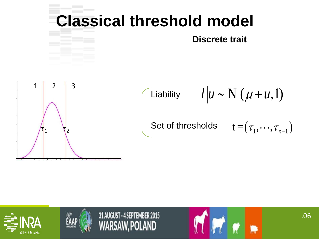

$$
\mathbf{t} = (\tau_1, \cdots, \tau_{n-1})
$$







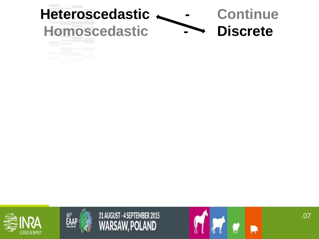







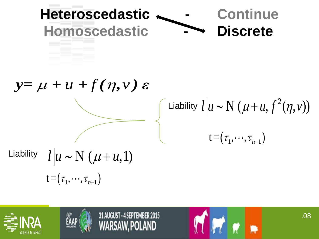| Heteroscedastic                        | Continue                                      |
|----------------------------------------|-----------------------------------------------|
| Homoscedastic                          | Discrete                                      |
| $y = \mu + u + f(\eta, v) \varepsilon$ | Liability $l u \sim N(\mu + u, f^2(\eta, v))$ |
| Liability $l u \sim N(\mu + u, 1)$     | $t = (\tau_1, \dots, \tau_{n-1})$             |

.08

Mr ..





31 AUGUST - 4 SEPTEMBER 2015<br>WARSAW, POLAND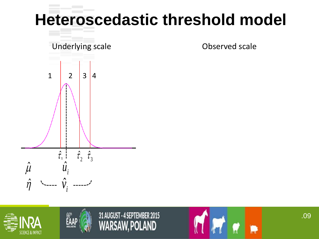# **Heteroscedastic threshold model**









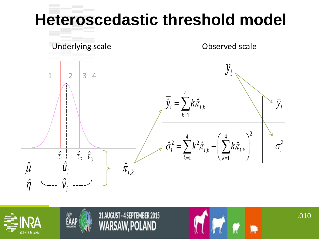# **Heteroscedastic threshold model**







#### 31 AUGUST - 4 SEPTEMBER 2015 POLAND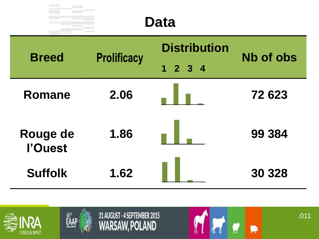| <b>Data</b>         |                    |                             |                  |  |
|---------------------|--------------------|-----------------------------|------------------|--|
| <b>Breed</b>        | <b>Prolificacy</b> | <b>Distribution</b>         | <b>Nb of obs</b> |  |
|                     |                    | $1 \quad 2 \quad 3 \quad 4$ |                  |  |
| Romane              | 2.06               |                             | 72 623           |  |
| Rouge de<br>l'Ouest | 1.86               |                             | 99 384           |  |
| <b>Suffolk</b>      | 1.62               |                             | 30 328           |  |





31 AUGUST - 4 SEPTEMBER 2015<br>WARSAW, POLAND

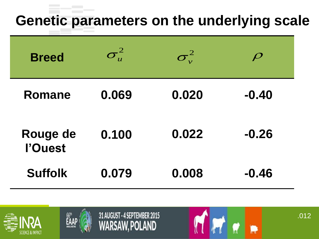#### **Genetic parameters on the underlying scale**

| <b>Breed</b>        | $\sigma^2_u$ | $\boldsymbol{\sigma}_{\mathrm{v}}^2$ | $\boldsymbol{\varphi}$ |
|---------------------|--------------|--------------------------------------|------------------------|
| Romane              | 0.069        | 0.020                                | $-0.40$                |
| Rouge de<br>l'Ouest | 0.100        | 0.022                                | $-0.26$                |
| <b>Suffolk</b>      | 0.079        | 0.008                                | $-0.46$                |





31 AUGUST - 4 SEPTEMBER 2015 **WARSAW, POLAND** 

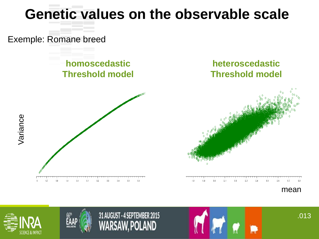#### **Genetic values on the observable scale**

Exemple: Romane breed

**homoscedastic Threshold model**





2.5

mean



Variance



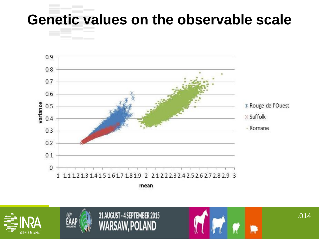#### **Genetic values on the observable scale**



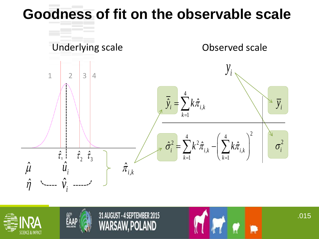





31 AUGUST - 4 SEPTEMBER 2015 POLAND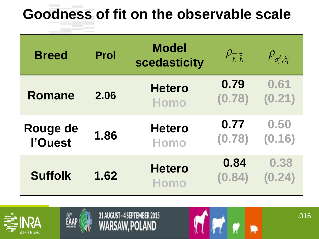| <b>Breed</b>        | <b>Prol</b> | <b>Model</b><br>scedasticity | $\Vert \rho_{\overline{y_i}, \overline{\hat{y}}_i} \Vert$ | $\rho_{\sigma_i^2, \hat{\sigma}_i^2}$ |
|---------------------|-------------|------------------------------|-----------------------------------------------------------|---------------------------------------|
| Romane              | 2.06        | <b>Hetero</b><br><b>Homo</b> | 0.79<br>(0.78)                                            | 0.61<br>(0.21)                        |
| Rouge de<br>l'Ouest | 1.86        | <b>Hetero</b><br>Homo        | 0.77<br>(0.78)                                            | 0.50<br>(0.16)                        |
| <b>Suffolk</b>      | 1.62        | <b>Hetero</b><br><b>Homo</b> | 0.84<br>(0.84)                                            | 0.38<br>(0.24)                        |





31 AUGUST - 4 SEPTEMBER 2015 WARSAW, POLAND

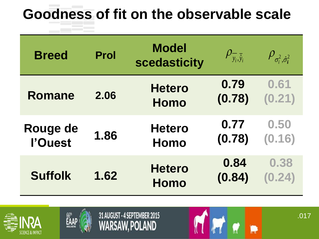| <b>Breed</b>        | <b>Prol</b> | <b>Model</b><br>scedasticity | $\rho_{\overline{y_i}, \overline{\hat{y}}_i}$ | $\rho_{\sigma_i^2, \hat{\sigma}_i^2}$ |
|---------------------|-------------|------------------------------|-----------------------------------------------|---------------------------------------|
| Romane              | 2.06        | <b>Hetero</b><br><b>Homo</b> | 0.79<br>(0.78)                                | 0.61<br>(0.21)                        |
| Rouge de<br>l'Ouest | 1.86        | <b>Hetero</b><br>Homo        | 0.77<br>(0.78)                                | 0.50<br>(0.16)                        |
| <b>Suffolk</b>      | 1.62        | <b>Hetero</b><br><b>Homo</b> | 0.84<br>(0.84)                                | 0.38<br>(0.24)                        |





31 AUGUST - 4 SEPTEMBER 2015 WARSAW, POLAND

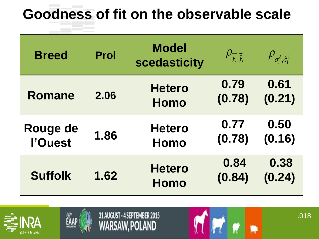| <b>Breed</b>        | <b>Prol</b> | <b>Model</b><br>scedasticity | $\rho_{\overline{y_i}, \overline{\hat{y}}_i}$ | $\rho_{\sigma_i^2, \hat{\sigma}_i^2}$ |
|---------------------|-------------|------------------------------|-----------------------------------------------|---------------------------------------|
| Romane              | 2.06        | <b>Hetero</b><br><b>Homo</b> | 0.79<br>(0.78)                                | 0.61<br>(0.21)                        |
| Rouge de<br>l'Ouest | 1.86        | <b>Hetero</b><br><b>Homo</b> | 0.77<br>(0.78)                                | 0.50<br>(0.16)                        |
| <b>Suffolk</b>      | 1.62        | <b>Hetero</b><br><b>Homo</b> | 0.84<br>(0.84)                                | 0.38<br>(0.24)                        |





31 AUGUST - 4 SEPTEMBER 2015 WARSAW, POLAND

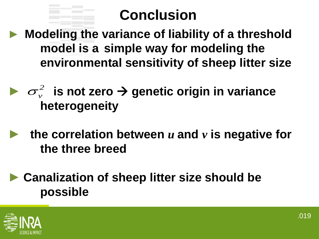## **Conclusion**

► **Modeling the variance of liability of a threshold model is a simple way for modeling the environmental sensitivity of sheep litter size** 

▶  $\sigma_v^2$  is not zero  $\rightarrow$  genetic origin in variance **heterogeneity**  *2*  $\sigma_{\overline{v}}$ 

- **the correlation between**  $u$  and  $v$  is negative for **the three breed**
- ► **Canalization of sheep litter size should be possible**